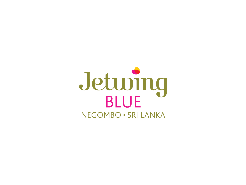# Jetuving NEGOMBO · SRI LANKA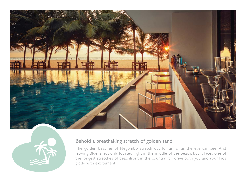



## Behold a breathaking stretch of golden sand

The golden beaches of Negombo stretch out for as far as the eye can see. And Jetwing Blue is not only located right in the middle of the beach, but it faces one of the longest stretches of beachfront in the country. It'll drive both you and your kids giddy with excitement.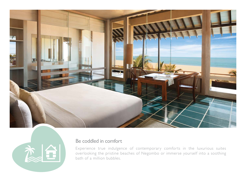



### Be coddled in comfort

Experience true indulgence of contemporary comforts in the luxurious suites overlooking the pristine beaches of Negombo or immerse yourself into a soothing bath of a million bubbles.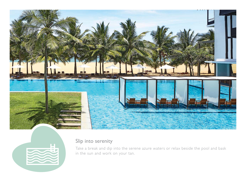



# Slip into serenity

Take a break and dip into the serene azure waters or relax beside the pool and bask in the sun and work on your tan.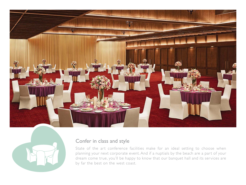



### Confer in class and style

State of the art conference facilities make for an ideal setting to choose when planning your next corporate event. And if a nuptials by the beach are a part of your dream come true, you'll be happy to know that our banquet hall and its services are by far the best on the west coast.